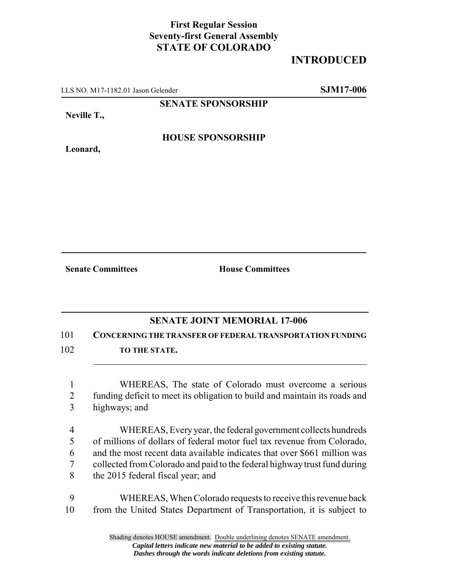## **First Regular Session Seventy-first General Assembly STATE OF COLORADO**

## **INTRODUCED**

LLS NO. M17-1182.01 Jason Gelender **SJM17-006**

**SENATE SPONSORSHIP**

**Neville T.,**

**HOUSE SPONSORSHIP**

**Leonard,**

**Senate Committees House Committees** 

## **SENATE JOINT MEMORIAL 17-006**

101 **CONCERNING THE TRANSFER OF FEDERAL TRANSPORTATION FUNDING**

- 102 **TO THE STATE.** 
	- 1 WHEREAS, The state of Colorado must overcome a serious 2 funding deficit to meet its obligation to build and maintain its roads and 3 highways; and
	- 4 WHEREAS, Every year, the federal government collects hundreds 5 of millions of dollars of federal motor fuel tax revenue from Colorado, 6 and the most recent data available indicates that over \$661 million was 7 collected from Colorado and paid to the federal highway trust fund during 8 the 2015 federal fiscal year; and
- 9 WHEREAS, When Colorado requests to receive this revenue back 10 from the United States Department of Transportation, it is subject to